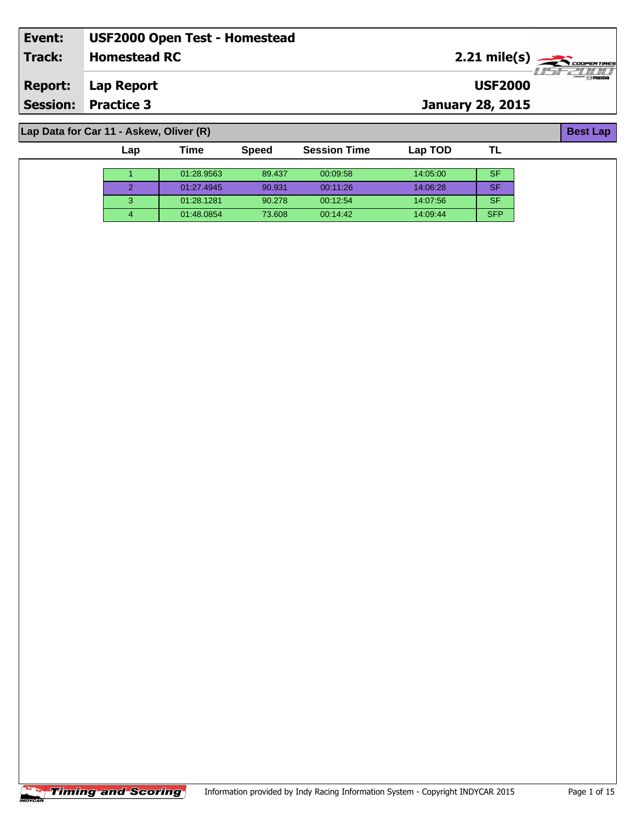| Event:         | <b>USF2000 Open Test - Homestead</b>    |                         |                                                                                                                                                                             |
|----------------|-----------------------------------------|-------------------------|-----------------------------------------------------------------------------------------------------------------------------------------------------------------------------|
| Track:         | <b>Homestead RC</b>                     | $2.21 \text{ mile(s)}$  | 77771111                                                                                                                                                                    |
| <b>Report:</b> | Lap Report                              | <b>USF2000</b>          | $\overbrace{\phantom{\mathcal{L}_{\mathcal{L}_{\mathcal{L}_{\mathcal{L}_{\mathcal{L}}}}}}^{\mathcal{L}_{\mathcal{L}_{\mathcal{L}}}}}\mathcal{L}_{\mathcal{L}}\mathbf{max}}$ |
|                | <b>Session: Practice 3</b>              | <b>January 28, 2015</b> |                                                                                                                                                                             |
|                |                                         |                         |                                                                                                                                                                             |
|                | Lap Data for Car 11 - Askew, Oliver (R) |                         | <b>Best Lap</b>                                                                                                                                                             |

| Lap | 'ime       | <b>Speed</b> | <b>Session Time</b> | Lap TOD  |            |
|-----|------------|--------------|---------------------|----------|------------|
|     |            |              |                     |          |            |
|     | 01:28.9563 | 89.437       | 00:09:58            | 14:05:00 | SF         |
|     | 01:27.4945 | 90.931       | 00:11:26            | 14:06:28 | SF         |
|     | 01:28.1281 | 90.278       | 00:12:54            | 14.07.56 | SF         |
|     | 01:48.0854 | 73.608       | 00:14:42            | 14:09:44 | <b>SFP</b> |



-1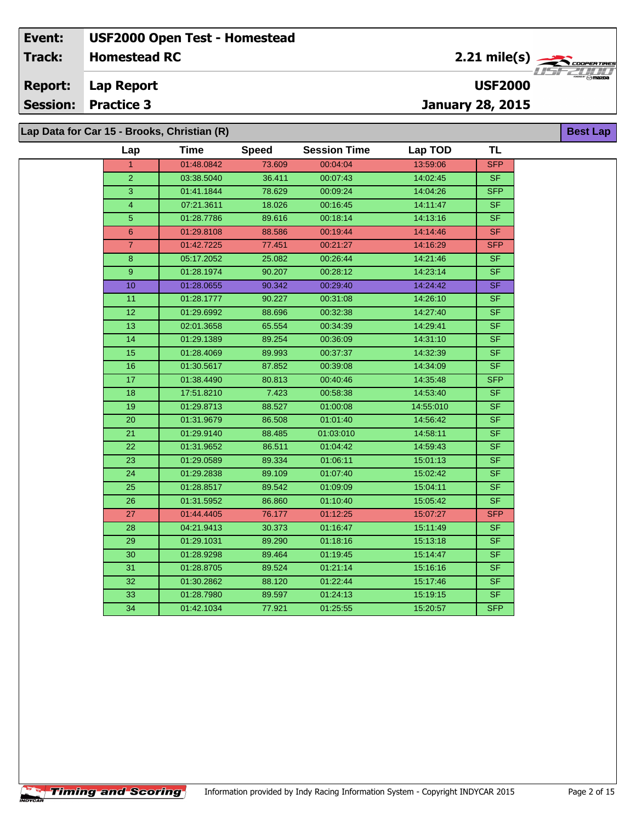**Lap Report Report:**

**Session: Practice 3**

**Lap Data for Car 15 - Brooks, Christian (R)**

| Lap<br>$\mathbf{1}$<br>$\overline{2}$<br>3<br>$\overline{4}$ | <b>Time</b><br>01:48.0842<br>03:38.5040 | <b>Speed</b><br>73.609 | <b>Session Time</b><br>00:04:04 | Lap TOD   | <b>TL</b>                |  |
|--------------------------------------------------------------|-----------------------------------------|------------------------|---------------------------------|-----------|--------------------------|--|
|                                                              |                                         |                        |                                 |           |                          |  |
|                                                              |                                         |                        |                                 | 13:59:06  | <b>SFP</b>               |  |
|                                                              |                                         | 36.411                 | 00:07:43                        | 14:02:45  | <b>SF</b>                |  |
|                                                              | 01:41.1844                              | 78.629                 | 00:09:24                        | 14:04:26  | <b>SFP</b>               |  |
|                                                              | 07:21.3611                              | 18.026                 | 00:16:45                        | 14:11:47  | <b>SF</b>                |  |
| $\overline{5}$                                               | 01:28.7786                              | 89.616                 | 00:18:14                        | 14:13:16  | <b>SF</b>                |  |
| 6                                                            | 01:29.8108                              | 88.586                 | 00:19:44                        | 14:14:46  | <b>SF</b>                |  |
| $\overline{7}$                                               | 01:42.7225                              | 77.451                 | 00:21:27                        | 14:16:29  | <b>SFP</b>               |  |
| 8                                                            | 05:17.2052                              | 25.082                 | 00:26:44                        | 14:21:46  | <b>SF</b>                |  |
| 9                                                            | 01:28.1974                              | 90.207                 | 00:28:12                        | 14:23:14  | <b>SF</b>                |  |
| 10                                                           | 01:28.0655                              | 90.342                 | 00:29:40                        | 14:24:42  | SF                       |  |
| 11                                                           | 01:28.1777                              | 90.227                 | 00:31:08                        | 14:26:10  | <b>SF</b>                |  |
| $\overline{12}$                                              | 01:29.6992                              | 88.696                 | 00:32:38                        | 14:27:40  | SF                       |  |
| 13                                                           | 02:01.3658                              | 65.554                 | 00:34:39                        | 14:29:41  | <b>SF</b>                |  |
| $\overline{14}$                                              | 01:29.1389                              | 89.254                 | 00:36:09                        | 14:31:10  | <b>SF</b>                |  |
| 15                                                           | 01:28.4069                              | 89.993                 | 00:37:37                        | 14:32:39  | SF                       |  |
| 16                                                           | 01:30.5617                              | 87.852                 | 00:39:08                        | 14:34:09  | $S$ F                    |  |
| 17                                                           | 01:38.4490                              | 80.813                 | 00:40:46                        | 14:35:48  | <b>SFP</b>               |  |
| 18                                                           | 17:51.8210                              | 7.423                  | 00:58:38                        | 14:53:40  | <b>SF</b>                |  |
| 19                                                           | 01:29.8713                              | 88.527                 | 01:00:08                        | 14:55:010 | <b>SF</b>                |  |
| 20                                                           | 01:31.9679                              | 86.508                 | 01:01:40                        | 14:56:42  | S <sub>F</sub>           |  |
| $\overline{21}$                                              | 01:29.9140                              | 88.485                 | 01:03:010                       | 14:58:11  | $\overline{\mathsf{SF}}$ |  |
| 22                                                           | 01:31.9652                              | 86.511                 | 01:04:42                        | 14:59:43  | <b>SF</b>                |  |
| 23                                                           | 01:29.0589                              | 89.334                 | 01:06:11                        | 15:01:13  | <b>SF</b>                |  |
| 24                                                           | 01:29.2838                              | 89.109                 | 01:07:40                        | 15:02:42  | <b>SF</b>                |  |
| 25                                                           | 01:28.8517                              | 89.542                 | 01:09:09                        | 15:04:11  | <b>SF</b>                |  |
| $\overline{26}$                                              | 01:31.5952                              | 86.860                 | 01:10:40                        | 15:05:42  | SF.                      |  |
| 27                                                           | 01:44.4405                              | 76.177                 | 01:12:25                        | 15:07:27  | <b>SFP</b>               |  |
| 28                                                           | 04:21.9413                              | 30.373                 | 01:16:47                        | 15:11:49  | SF.                      |  |
| 29                                                           | 01:29.1031                              | 89.290                 | 01:18:16                        | 15:13:18  | <b>SF</b>                |  |
| 30                                                           | 01:28.9298                              | 89.464                 | 01:19:45                        | 15:14:47  | <b>SF</b>                |  |
| 31                                                           | 01:28.8705                              | 89.524                 | 01:21:14                        | 15:16:16  | <b>SF</b>                |  |
| $\overline{32}$                                              | 01:30.2862                              | 88.120                 | 01:22:44                        | 15:17:46  | <b>SF</b>                |  |
| 33                                                           | 01:28.7980                              | 89.597                 | 01:24:13                        | 15:19:15  | SF                       |  |
| 34                                                           | 01:42.1034                              | 77.921                 | 01:25:55                        | 15:20:57  | <b>SFP</b>               |  |
|                                                              |                                         |                        |                                 |           |                          |  |

**USF2000**

**January 28, 2015**

**Timing and Scoring** Information provided by Indy Racing Information System - Copyright INDYCAR 2015 Page 2 of 15

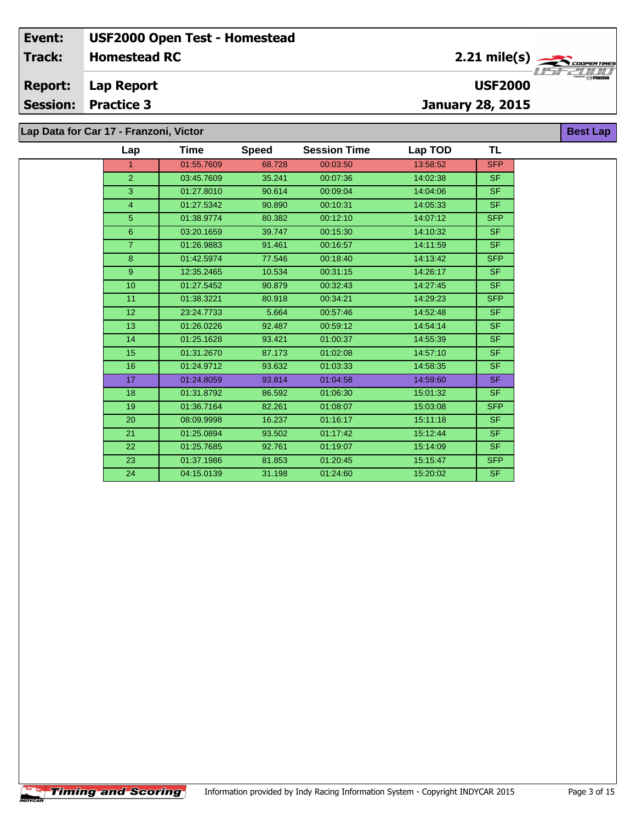**Lap Report Report:**

**Session: Practice 3**

 $\overline{\phantom{a}}$ 

**January 28, 2015**

**USF2000**

**Lap Data for Car 17 - Franzoni, Victor**

| Lap             | Time       | <b>Speed</b> | <b>Session Time</b> | Lap TOD  | TL         |
|-----------------|------------|--------------|---------------------|----------|------------|
| $\mathbf{1}$    | 01:55.7609 | 68.728       | 00:03:50            | 13:58:52 | <b>SFP</b> |
| $\overline{2}$  | 03:45.7609 | 35.241       | 00:07:36            | 14:02:38 | <b>SF</b>  |
| 3               | 01:27.8010 | 90.614       | 00:09:04            | 14:04:06 | <b>SF</b>  |
| 4               | 01:27.5342 | 90.890       | 00:10:31            | 14:05:33 | <b>SF</b>  |
| 5 <sup>5</sup>  | 01:38.9774 | 80.382       | 00:12:10            | 14:07:12 | <b>SFP</b> |
| $6\phantom{1}$  | 03:20.1659 | 39.747       | 00:15:30            | 14:10:32 | <b>SF</b>  |
| $\overline{7}$  | 01:26.9883 | 91.461       | 00:16:57            | 14:11:59 | <b>SF</b>  |
| 8               | 01:42.5974 | 77.546       | 00:18:40            | 14:13:42 | <b>SFP</b> |
| 9 <sup>°</sup>  | 12:35.2465 | 10.534       | 00:31:15            | 14:26:17 | <b>SF</b>  |
| 10 <sup>°</sup> | 01:27.5452 | 90.879       | 00:32:43            | 14:27:45 | <b>SF</b>  |
| 11              | 01:38.3221 | 80.918       | 00:34:21            | 14:29:23 | <b>SFP</b> |
| 12 <sup>2</sup> | 23:24.7733 | 5.664        | 00:57:46            | 14:52:48 | <b>SF</b>  |
| 13              | 01:26.0226 | 92.487       | 00:59:12            | 14:54:14 | <b>SF</b>  |
| 14              | 01:25.1628 | 93.421       | 01:00:37            | 14:55:39 | <b>SF</b>  |
| 15              | 01:31.2670 | 87.173       | 01:02:08            | 14:57:10 | <b>SF</b>  |
| 16              | 01:24.9712 | 93.632       | 01:03:33            | 14:58:35 | <b>SF</b>  |
| 17 <sup>2</sup> | 01:24.8059 | 93.814       | 01:04:58            | 14:59:60 | <b>SF</b>  |
| 18              | 01:31.8792 | 86.592       | 01:06:30            | 15:01:32 | <b>SF</b>  |
| 19              | 01:36.7164 | 82.261       | 01:08:07            | 15:03:08 | <b>SFP</b> |
| 20              | 08:09.9998 | 16.237       | 01:16:17            | 15:11:18 | <b>SF</b>  |
| 21              | 01:25.0894 | 93.502       | 01:17:42            | 15:12:44 | <b>SF</b>  |
| 22              | 01:25.7685 | 92.761       | 01:19:07            | 15:14:09 | <b>SF</b>  |
| 23              | 01:37.1986 | 81.853       | 01:20:45            | 15:15:47 | <b>SFP</b> |
| 24              | 04:15.0139 | 31.198       | 01:24:60            | 15:20:02 | <b>SF</b>  |



**Best Lap**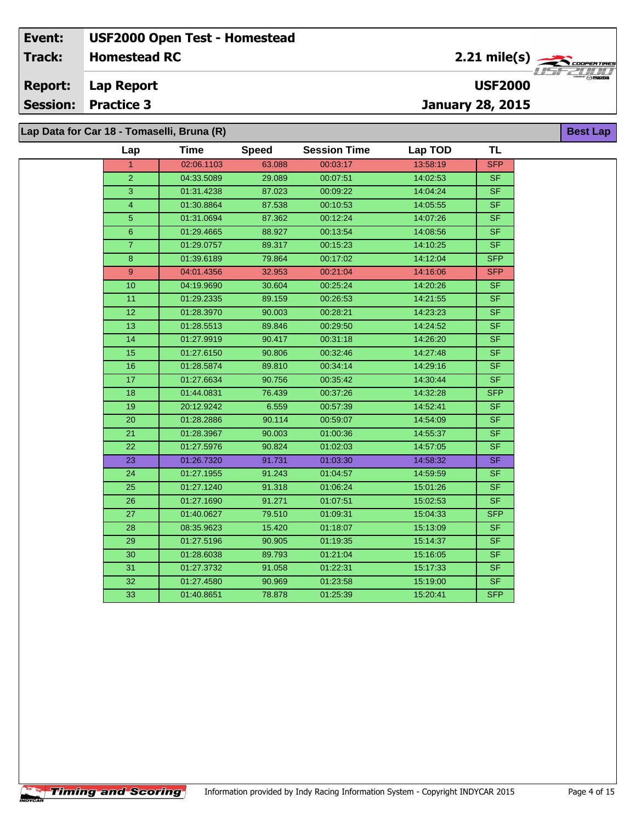**Lap Report Report:**

**Session: Practice 3**

# **January 28, 2015**

**USF2000**

2.21 mile(s)

**Best Lap**

**Lap Data for Car 18 - Tomaselli, Bruna (R)**

| Lap             | Time       | <b>Speed</b> | <b>Session Time</b> | Lap TOD  | <b>TL</b>                |
|-----------------|------------|--------------|---------------------|----------|--------------------------|
| 1.              | 02:06.1103 | 63.088       | 00:03:17            | 13:58:19 | <b>SFP</b>               |
| $\overline{2}$  | 04:33.5089 | 29.089       | 00:07:51            | 14:02:53 | SF.                      |
| 3               | 01:31.4238 | 87.023       | 00:09:22            | 14:04:24 | <b>SF</b>                |
| $\overline{4}$  | 01:30.8864 | 87.538       | 00:10:53            | 14:05:55 | <b>SF</b>                |
| 5               | 01:31.0694 | 87.362       | 00:12:24            | 14:07:26 | <b>SF</b>                |
| $6\phantom{.}6$ | 01:29.4665 | 88.927       | 00:13:54            | 14:08:56 | SF                       |
| $\overline{7}$  | 01:29.0757 | 89.317       | 00:15:23            | 14:10:25 | <b>SF</b>                |
| 8 <sup>°</sup>  | 01:39.6189 | 79.864       | 00:17:02            | 14:12:04 | <b>SFP</b>               |
| 9               | 04:01.4356 | 32.953       | 00:21:04            | 14:16:06 | <b>SFP</b>               |
| 10              | 04:19.9690 | 30.604       | 00:25:24            | 14:20:26 | SF.                      |
| 11              | 01:29.2335 | 89.159       | 00:26:53            | 14:21:55 | <b>SF</b>                |
| 12 <sub>2</sub> | 01:28.3970 | 90.003       | 00:28:21            | 14:23:23 | SF                       |
| 13              | 01:28.5513 | 89.846       | 00:29:50            | 14:24:52 | <b>SF</b>                |
| 14              | 01:27.9919 | 90.417       | 00:31:18            | 14:26:20 | <b>SF</b>                |
| 15              | 01:27.6150 | 90.806       | 00:32:46            | 14:27:48 | SF.                      |
| 16              | 01:28.5874 | 89.810       | 00:34:14            | 14:29:16 | <b>SF</b>                |
| 17              | 01:27.6634 | 90.756       | 00:35:42            | 14:30:44 | SF.                      |
| 18              | 01:44.0831 | 76.439       | 00:37:26            | 14:32:28 | <b>SFP</b>               |
| 19              | 20:12.9242 | 6.559        | 00:57:39            | 14:52:41 | <b>SF</b>                |
| 20              | 01:28.2886 | 90.114       | 00:59:07            | 14:54:09 | <b>SF</b>                |
| 21              | 01:28.3967 | 90.003       | 01:00:36            | 14:55:37 | <b>SF</b>                |
| 22              | 01:27.5976 | 90.824       | 01:02:03            | 14:57:05 | <b>SF</b>                |
| 23              | 01:26.7320 | 91.731       | 01:03:30            | 14:58:32 | <b>SF</b>                |
| 24              | 01:27.1955 | 91.243       | 01:04:57            | 14:59:59 | SF                       |
| 25              | 01:27.1240 | 91.318       | 01:06:24            | 15:01:26 | <b>SF</b>                |
| 26              | 01:27.1690 | 91.271       | 01:07:51            | 15:02:53 | SF                       |
| 27              | 01:40.0627 | 79.510       | 01:09:31            | 15:04:33 | <b>SFP</b>               |
| 28              | 08:35.9623 | 15.420       | 01:18:07            | 15:13:09 | SF.                      |
| 29              | 01:27.5196 | 90.905       | 01:19:35            | 15:14:37 | <b>SF</b>                |
| 30              | 01:28.6038 | 89.793       | 01:21:04            | 15:16:05 | $\overline{\mathsf{SF}}$ |
| 31              | 01:27.3732 | 91.058       | 01:22:31            | 15:17:33 | SF                       |
| 32              | 01:27.4580 | 90.969       | 01:23:58            | 15:19:00 | SF                       |
| 33              | 01:40.8651 | 78.878       | 01:25:39            | 15:20:41 | <b>SFP</b>               |

**Timing and Scoring**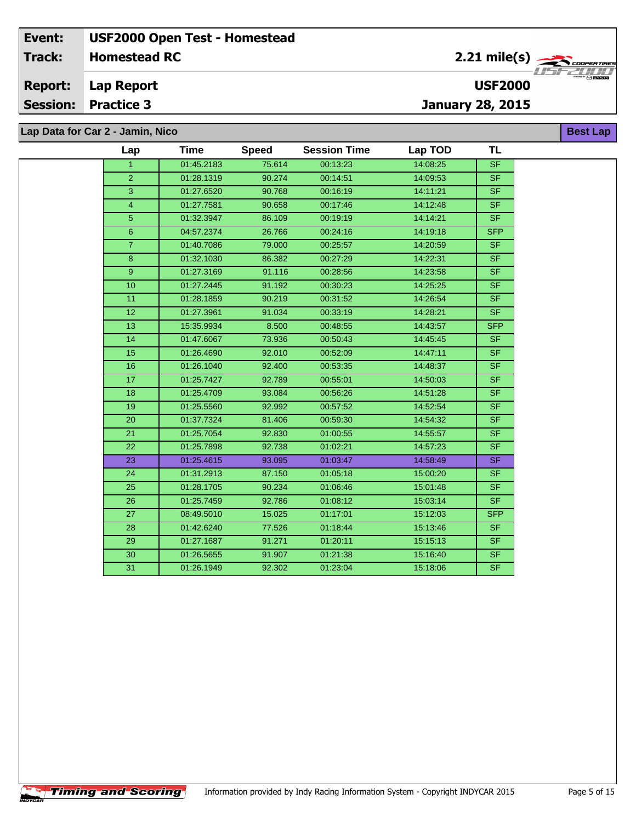**Lap Report Report:**

**Session: Practice 3**

**January 28, 2015**

**Lap Data for Car 2 - Jamin, Nico**

**Timing and Scoring** 

 $\overline{\phantom{a}}$ 

| 01:45.2183<br>75.614<br>00:13:23<br>14:08:25<br>$\overline{\mathsf{SF}}$<br>$\mathbf{1}$<br>$\overline{2}$<br>01:28.1319<br>90.274<br>00:14:51<br>14:09:53<br><b>SF</b><br>3<br>01:27.6520<br>90.768<br>00:16:19<br>14:11:21<br><b>SF</b><br><b>SF</b><br>4<br>01:27.7581<br>90.658<br>00:17:46<br>14:12:48<br>5 <sup>5</sup><br><b>SF</b><br>01:32.3947<br>86.109<br>00:19:19<br>14:14:21<br>$\,6\,$<br>26.766<br>04:57.2374<br>00:24:16<br>14:19:18<br><b>SFP</b><br>$\overline{7}$<br>01:40.7086<br>79.000<br>00:25:57<br>14:20:59<br><b>SF</b><br>01:32.1030<br>86.382<br>00:27:29<br>14:22:31<br><b>SF</b><br>8<br>9<br>01:27.3169<br>91.116<br>00:28:56<br>14:23:58<br>SF.<br>91.192<br>14:25:25<br><b>SF</b><br>10 <sup>1</sup><br>01:27.2445<br>00:30:23<br>11<br>00:31:52<br>14:26:54<br><b>SF</b><br>01:28.1859<br>90.219<br>91.034<br>00:33:19<br>SF.<br>12<br>01:27.3961<br>14:28:21<br>15:35.9934<br>8.500<br>00:48:55<br>14:43:57<br><b>SFP</b><br>13<br>73.936<br>14:45:45<br><b>SF</b><br>14<br>01:47.6067<br>00:50:43<br>15<br>01:26.4690<br>92.010<br>00:52:09<br>14:47:11<br><b>SF</b><br>16<br>92.400<br>00:53:35<br>01:26.1040<br>14:48:37<br><b>SF</b><br>17<br>01:25.7427<br>92.789<br>00:55:01<br><b>SF</b><br>14:50:03<br><b>SF</b><br>18<br>01:25.4709<br>93.084<br>00:56:26<br>14:51:28<br>19<br>01:25.5560<br>92.992<br>00:57:52<br>14:52:54<br><b>SF</b><br>20<br>01:37.7324<br>81.406<br>00:59:30<br>14:54:32<br>SF.<br>$\overline{21}$<br>92.830<br><b>SF</b><br>01:25.7054<br>01:00:55<br>14:55:57<br>01:25.7898<br>92.738<br>01:02:21<br>14:57:23<br>SF.<br>22<br>23<br>01:25.4615<br>93.095<br>01:03:47<br>14:58:49<br>SF.<br>87.150<br>01:05:18<br><b>SF</b><br>24<br>01:31.2913<br>15:00:20<br><b>SF</b><br>25<br>01:28.1705<br>90.234<br>01:06:46<br>15:01:48<br>01:25.7459<br>92.786<br>01:08:12<br>15:03:14<br><b>SF</b><br>26<br>15.025<br>01:17:01<br>15:12:03<br>27<br>08:49.5010<br><b>SFP</b><br>77.526<br>01:18:44<br><b>SF</b><br>28<br>01:42.6240<br>15:13:46<br>91.271<br>01:20:11<br>29<br>01:27.1687<br>15:15:13<br><b>SF</b><br>30<br>01:21:38<br>01:26.5655<br>91.907<br>15:16:40<br><b>SF</b><br>31<br><b>SF</b><br>92.302<br>01:23:04<br>01:26.1949<br>15:18:06 | Lap | Time | <b>Speed</b> | <b>Session Time</b> | Lap TOD | TL |
|-----------------------------------------------------------------------------------------------------------------------------------------------------------------------------------------------------------------------------------------------------------------------------------------------------------------------------------------------------------------------------------------------------------------------------------------------------------------------------------------------------------------------------------------------------------------------------------------------------------------------------------------------------------------------------------------------------------------------------------------------------------------------------------------------------------------------------------------------------------------------------------------------------------------------------------------------------------------------------------------------------------------------------------------------------------------------------------------------------------------------------------------------------------------------------------------------------------------------------------------------------------------------------------------------------------------------------------------------------------------------------------------------------------------------------------------------------------------------------------------------------------------------------------------------------------------------------------------------------------------------------------------------------------------------------------------------------------------------------------------------------------------------------------------------------------------------------------------------------------------------------------------------------------------------------------------------------------------------------------------------------------------------------------------------------------------------------------------------------------------------------------------------------------------------------------------------------------------------|-----|------|--------------|---------------------|---------|----|
|                                                                                                                                                                                                                                                                                                                                                                                                                                                                                                                                                                                                                                                                                                                                                                                                                                                                                                                                                                                                                                                                                                                                                                                                                                                                                                                                                                                                                                                                                                                                                                                                                                                                                                                                                                                                                                                                                                                                                                                                                                                                                                                                                                                                                       |     |      |              |                     |         |    |
|                                                                                                                                                                                                                                                                                                                                                                                                                                                                                                                                                                                                                                                                                                                                                                                                                                                                                                                                                                                                                                                                                                                                                                                                                                                                                                                                                                                                                                                                                                                                                                                                                                                                                                                                                                                                                                                                                                                                                                                                                                                                                                                                                                                                                       |     |      |              |                     |         |    |
|                                                                                                                                                                                                                                                                                                                                                                                                                                                                                                                                                                                                                                                                                                                                                                                                                                                                                                                                                                                                                                                                                                                                                                                                                                                                                                                                                                                                                                                                                                                                                                                                                                                                                                                                                                                                                                                                                                                                                                                                                                                                                                                                                                                                                       |     |      |              |                     |         |    |
|                                                                                                                                                                                                                                                                                                                                                                                                                                                                                                                                                                                                                                                                                                                                                                                                                                                                                                                                                                                                                                                                                                                                                                                                                                                                                                                                                                                                                                                                                                                                                                                                                                                                                                                                                                                                                                                                                                                                                                                                                                                                                                                                                                                                                       |     |      |              |                     |         |    |
|                                                                                                                                                                                                                                                                                                                                                                                                                                                                                                                                                                                                                                                                                                                                                                                                                                                                                                                                                                                                                                                                                                                                                                                                                                                                                                                                                                                                                                                                                                                                                                                                                                                                                                                                                                                                                                                                                                                                                                                                                                                                                                                                                                                                                       |     |      |              |                     |         |    |
|                                                                                                                                                                                                                                                                                                                                                                                                                                                                                                                                                                                                                                                                                                                                                                                                                                                                                                                                                                                                                                                                                                                                                                                                                                                                                                                                                                                                                                                                                                                                                                                                                                                                                                                                                                                                                                                                                                                                                                                                                                                                                                                                                                                                                       |     |      |              |                     |         |    |
|                                                                                                                                                                                                                                                                                                                                                                                                                                                                                                                                                                                                                                                                                                                                                                                                                                                                                                                                                                                                                                                                                                                                                                                                                                                                                                                                                                                                                                                                                                                                                                                                                                                                                                                                                                                                                                                                                                                                                                                                                                                                                                                                                                                                                       |     |      |              |                     |         |    |
|                                                                                                                                                                                                                                                                                                                                                                                                                                                                                                                                                                                                                                                                                                                                                                                                                                                                                                                                                                                                                                                                                                                                                                                                                                                                                                                                                                                                                                                                                                                                                                                                                                                                                                                                                                                                                                                                                                                                                                                                                                                                                                                                                                                                                       |     |      |              |                     |         |    |
|                                                                                                                                                                                                                                                                                                                                                                                                                                                                                                                                                                                                                                                                                                                                                                                                                                                                                                                                                                                                                                                                                                                                                                                                                                                                                                                                                                                                                                                                                                                                                                                                                                                                                                                                                                                                                                                                                                                                                                                                                                                                                                                                                                                                                       |     |      |              |                     |         |    |
|                                                                                                                                                                                                                                                                                                                                                                                                                                                                                                                                                                                                                                                                                                                                                                                                                                                                                                                                                                                                                                                                                                                                                                                                                                                                                                                                                                                                                                                                                                                                                                                                                                                                                                                                                                                                                                                                                                                                                                                                                                                                                                                                                                                                                       |     |      |              |                     |         |    |
|                                                                                                                                                                                                                                                                                                                                                                                                                                                                                                                                                                                                                                                                                                                                                                                                                                                                                                                                                                                                                                                                                                                                                                                                                                                                                                                                                                                                                                                                                                                                                                                                                                                                                                                                                                                                                                                                                                                                                                                                                                                                                                                                                                                                                       |     |      |              |                     |         |    |
|                                                                                                                                                                                                                                                                                                                                                                                                                                                                                                                                                                                                                                                                                                                                                                                                                                                                                                                                                                                                                                                                                                                                                                                                                                                                                                                                                                                                                                                                                                                                                                                                                                                                                                                                                                                                                                                                                                                                                                                                                                                                                                                                                                                                                       |     |      |              |                     |         |    |
|                                                                                                                                                                                                                                                                                                                                                                                                                                                                                                                                                                                                                                                                                                                                                                                                                                                                                                                                                                                                                                                                                                                                                                                                                                                                                                                                                                                                                                                                                                                                                                                                                                                                                                                                                                                                                                                                                                                                                                                                                                                                                                                                                                                                                       |     |      |              |                     |         |    |
|                                                                                                                                                                                                                                                                                                                                                                                                                                                                                                                                                                                                                                                                                                                                                                                                                                                                                                                                                                                                                                                                                                                                                                                                                                                                                                                                                                                                                                                                                                                                                                                                                                                                                                                                                                                                                                                                                                                                                                                                                                                                                                                                                                                                                       |     |      |              |                     |         |    |
|                                                                                                                                                                                                                                                                                                                                                                                                                                                                                                                                                                                                                                                                                                                                                                                                                                                                                                                                                                                                                                                                                                                                                                                                                                                                                                                                                                                                                                                                                                                                                                                                                                                                                                                                                                                                                                                                                                                                                                                                                                                                                                                                                                                                                       |     |      |              |                     |         |    |
|                                                                                                                                                                                                                                                                                                                                                                                                                                                                                                                                                                                                                                                                                                                                                                                                                                                                                                                                                                                                                                                                                                                                                                                                                                                                                                                                                                                                                                                                                                                                                                                                                                                                                                                                                                                                                                                                                                                                                                                                                                                                                                                                                                                                                       |     |      |              |                     |         |    |
|                                                                                                                                                                                                                                                                                                                                                                                                                                                                                                                                                                                                                                                                                                                                                                                                                                                                                                                                                                                                                                                                                                                                                                                                                                                                                                                                                                                                                                                                                                                                                                                                                                                                                                                                                                                                                                                                                                                                                                                                                                                                                                                                                                                                                       |     |      |              |                     |         |    |
|                                                                                                                                                                                                                                                                                                                                                                                                                                                                                                                                                                                                                                                                                                                                                                                                                                                                                                                                                                                                                                                                                                                                                                                                                                                                                                                                                                                                                                                                                                                                                                                                                                                                                                                                                                                                                                                                                                                                                                                                                                                                                                                                                                                                                       |     |      |              |                     |         |    |
|                                                                                                                                                                                                                                                                                                                                                                                                                                                                                                                                                                                                                                                                                                                                                                                                                                                                                                                                                                                                                                                                                                                                                                                                                                                                                                                                                                                                                                                                                                                                                                                                                                                                                                                                                                                                                                                                                                                                                                                                                                                                                                                                                                                                                       |     |      |              |                     |         |    |
|                                                                                                                                                                                                                                                                                                                                                                                                                                                                                                                                                                                                                                                                                                                                                                                                                                                                                                                                                                                                                                                                                                                                                                                                                                                                                                                                                                                                                                                                                                                                                                                                                                                                                                                                                                                                                                                                                                                                                                                                                                                                                                                                                                                                                       |     |      |              |                     |         |    |
|                                                                                                                                                                                                                                                                                                                                                                                                                                                                                                                                                                                                                                                                                                                                                                                                                                                                                                                                                                                                                                                                                                                                                                                                                                                                                                                                                                                                                                                                                                                                                                                                                                                                                                                                                                                                                                                                                                                                                                                                                                                                                                                                                                                                                       |     |      |              |                     |         |    |
|                                                                                                                                                                                                                                                                                                                                                                                                                                                                                                                                                                                                                                                                                                                                                                                                                                                                                                                                                                                                                                                                                                                                                                                                                                                                                                                                                                                                                                                                                                                                                                                                                                                                                                                                                                                                                                                                                                                                                                                                                                                                                                                                                                                                                       |     |      |              |                     |         |    |
|                                                                                                                                                                                                                                                                                                                                                                                                                                                                                                                                                                                                                                                                                                                                                                                                                                                                                                                                                                                                                                                                                                                                                                                                                                                                                                                                                                                                                                                                                                                                                                                                                                                                                                                                                                                                                                                                                                                                                                                                                                                                                                                                                                                                                       |     |      |              |                     |         |    |
|                                                                                                                                                                                                                                                                                                                                                                                                                                                                                                                                                                                                                                                                                                                                                                                                                                                                                                                                                                                                                                                                                                                                                                                                                                                                                                                                                                                                                                                                                                                                                                                                                                                                                                                                                                                                                                                                                                                                                                                                                                                                                                                                                                                                                       |     |      |              |                     |         |    |
|                                                                                                                                                                                                                                                                                                                                                                                                                                                                                                                                                                                                                                                                                                                                                                                                                                                                                                                                                                                                                                                                                                                                                                                                                                                                                                                                                                                                                                                                                                                                                                                                                                                                                                                                                                                                                                                                                                                                                                                                                                                                                                                                                                                                                       |     |      |              |                     |         |    |
|                                                                                                                                                                                                                                                                                                                                                                                                                                                                                                                                                                                                                                                                                                                                                                                                                                                                                                                                                                                                                                                                                                                                                                                                                                                                                                                                                                                                                                                                                                                                                                                                                                                                                                                                                                                                                                                                                                                                                                                                                                                                                                                                                                                                                       |     |      |              |                     |         |    |
|                                                                                                                                                                                                                                                                                                                                                                                                                                                                                                                                                                                                                                                                                                                                                                                                                                                                                                                                                                                                                                                                                                                                                                                                                                                                                                                                                                                                                                                                                                                                                                                                                                                                                                                                                                                                                                                                                                                                                                                                                                                                                                                                                                                                                       |     |      |              |                     |         |    |
|                                                                                                                                                                                                                                                                                                                                                                                                                                                                                                                                                                                                                                                                                                                                                                                                                                                                                                                                                                                                                                                                                                                                                                                                                                                                                                                                                                                                                                                                                                                                                                                                                                                                                                                                                                                                                                                                                                                                                                                                                                                                                                                                                                                                                       |     |      |              |                     |         |    |
|                                                                                                                                                                                                                                                                                                                                                                                                                                                                                                                                                                                                                                                                                                                                                                                                                                                                                                                                                                                                                                                                                                                                                                                                                                                                                                                                                                                                                                                                                                                                                                                                                                                                                                                                                                                                                                                                                                                                                                                                                                                                                                                                                                                                                       |     |      |              |                     |         |    |
|                                                                                                                                                                                                                                                                                                                                                                                                                                                                                                                                                                                                                                                                                                                                                                                                                                                                                                                                                                                                                                                                                                                                                                                                                                                                                                                                                                                                                                                                                                                                                                                                                                                                                                                                                                                                                                                                                                                                                                                                                                                                                                                                                                                                                       |     |      |              |                     |         |    |
|                                                                                                                                                                                                                                                                                                                                                                                                                                                                                                                                                                                                                                                                                                                                                                                                                                                                                                                                                                                                                                                                                                                                                                                                                                                                                                                                                                                                                                                                                                                                                                                                                                                                                                                                                                                                                                                                                                                                                                                                                                                                                                                                                                                                                       |     |      |              |                     |         |    |



**Best Lap**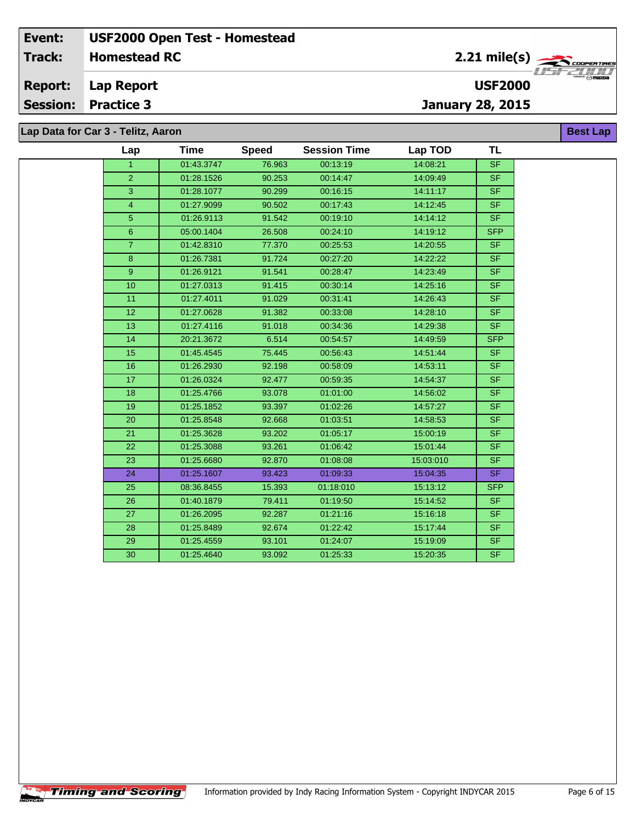**Lap Report Report:**

**Session: Practice 3**

**January 28, 2015**

**Lap Data for Car 3 - Telitz, Aaron**

**Timing and Scoring** 

 $\overline{\phantom{a}}$ 

| Lap            | Time       | <b>Speed</b> | <b>Session Time</b> | Lap TOD   | <b>TL</b>                         |
|----------------|------------|--------------|---------------------|-----------|-----------------------------------|
| $\mathbf{1}$   | 01:43.3747 | 76.963       | 00:13:19            | 14:08:21  | <b>SF</b>                         |
| 2              | 01:28.1526 | 90.253       | 00:14:47            | 14:09:49  | <b>SF</b>                         |
| $\overline{3}$ | 01:28.1077 | 90.299       | 00:16:15            | 14:11:17  | $\overline{\mathsf{SF}}$          |
| $\overline{4}$ | 01:27.9099 | 90.502       | 00:17:43            | 14:12:45  | <b>SF</b>                         |
| 5              | 01:26.9113 | 91.542       | 00:19:10            | 14:14:12  | S <sub>F</sub>                    |
| 6              | 05:00.1404 | 26.508       | 00:24:10            | 14:19:12  | <b>SFP</b>                        |
| $\overline{7}$ | 01:42.8310 | 77.370       | 00:25:53            | 14:20:55  | <b>SF</b>                         |
| $\bf{8}$       | 01:26.7381 | 91.724       | 00:27:20            | 14:22:22  | <b>SF</b>                         |
| 9              | 01:26.9121 | 91.541       | 00:28:47            | 14:23:49  | SF.                               |
| 10             | 01:27.0313 | 91.415       | 00:30:14            | 14:25:16  | <b>SF</b>                         |
| 11             | 01:27.4011 | 91.029       | 00:31:41            | 14:26:43  | <b>SF</b>                         |
| 12             | 01:27.0628 | 91.382       | 00:33:08            | 14:28:10  | <b>SF</b>                         |
| 13             | 01:27.4116 | 91.018       | 00:34:36            | 14:29:38  | <b>SF</b>                         |
| 14             | 20:21.3672 | 6.514        | 00:54:57            | 14:49:59  | <b>SFP</b>                        |
| 15             | 01:45.4545 | 75.445       | 00:56:43            | 14:51:44  | <b>SF</b>                         |
| 16             | 01:26.2930 | 92.198       | 00:58:09            | 14:53:11  | <b>SF</b>                         |
| 17             | 01:26.0324 | 92.477       | 00:59:35            | 14:54:37  | <b>SF</b>                         |
| 18             | 01:25.4766 | 93.078       | 01:01:00            | 14:56:02  | <b>SF</b>                         |
| 19             | 01:25.1852 | 93.397       | 01:02:26            | 14:57:27  | <b>SF</b>                         |
| 20             | 01:25.8548 | 92.668       | 01:03:51            | 14:58:53  | <b>SF</b>                         |
| 21             | 01:25.3628 | 93.202       | 01:05:17            | 15:00:19  | $\overline{\mathsf{S}\mathsf{F}}$ |
| 22             | 01:25.3088 | 93.261       | 01:06:42            | 15:01:44  | <b>SF</b>                         |
| 23             | 01:25.6680 | 92.870       | 01:08:08            | 15:03:010 | <b>SF</b>                         |
| 24             | 01:25.1607 | 93.423       | 01:09:33            | 15:04:35  | <b>SF</b>                         |
| 25             | 08:36.8455 | 15.393       | 01:18:010           | 15:13:12  | <b>SFP</b>                        |
| 26             | 01:40.1879 | 79.411       | 01:19:50            | 15:14:52  | <b>SF</b>                         |
| 27             | 01:26.2095 | 92.287       | 01:21:16            | 15:16:18  | <b>SF</b>                         |
| 28             | 01:25.8489 | 92.674       | 01:22:42            | 15:17:44  | <b>SF</b>                         |
| 29             | 01:25.4559 | 93.101       | 01:24:07            | 15:19:09  | <b>SF</b>                         |
| 30             | 01:25.4640 | 93.092       | 01:25:33            | 15:20:35  | <b>SF</b>                         |



**Best Lap**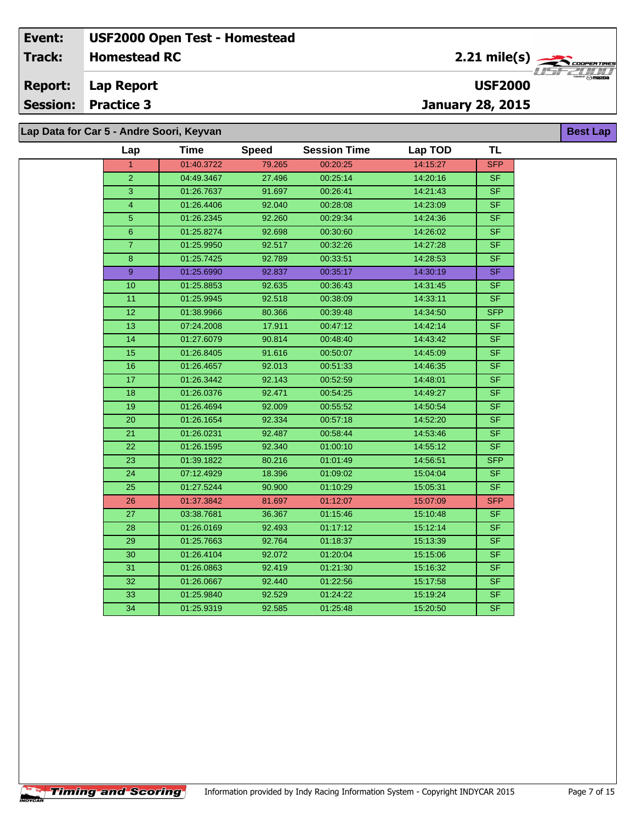**Lap Report Report:**

**Session: Practice 3**

# **January 28, 2015**

**Lap Data for Car 5 - Andre Soori, Keyvan**

| Lap                     | Time       | <b>Speed</b> | <b>Session Time</b> | Lap TOD  | <b>TL</b>                |
|-------------------------|------------|--------------|---------------------|----------|--------------------------|
| $\mathbf{1}$            | 01:40.3722 | 79.265       | 00:20:25            | 14:15:27 | <b>SFP</b>               |
| $\overline{2}$          | 04:49.3467 | 27.496       | 00:25:14            | 14:20:16 | <b>SF</b>                |
| 3                       | 01:26.7637 | 91.697       | 00:26:41            | 14:21:43 | <b>SF</b>                |
| $\overline{\mathbf{4}}$ | 01:26.4406 | 92.040       | 00:28:08            | 14:23:09 | <b>SF</b>                |
| $\overline{5}$          | 01:26.2345 | 92.260       | 00:29:34            | 14:24:36 | <b>SF</b>                |
| $\,6\,$                 | 01:25.8274 | 92.698       | 00:30:60            | 14:26:02 | SF                       |
| $\overline{7}$          | 01:25.9950 | 92.517       | 00:32:26            | 14:27:28 | <b>SF</b>                |
| 8                       | 01:25.7425 | 92.789       | 00:33:51            | 14:28:53 | <b>SF</b>                |
| 9 <sup>°</sup>          | 01:25.6990 | 92.837       | 00:35:17            | 14:30:19 | <b>SF</b>                |
| 10                      | 01:25.8853 | 92.635       | 00:36:43            | 14:31:45 | $\overline{\mathsf{SF}}$ |
| 11                      | 01:25.9945 | 92.518       | 00:38:09            | 14:33:11 | <b>SF</b>                |
| $\overline{12}$         | 01:38.9966 | 80.366       | 00:39:48            | 14:34:50 | <b>SFP</b>               |
| 13                      | 07:24.2008 | 17.911       | 00:47:12            | 14:42:14 | <b>SF</b>                |
| 14                      | 01:27.6079 | 90.814       | 00:48:40            | 14:43:42 | <b>SF</b>                |
| 15                      | 01:26.8405 | 91.616       | 00:50:07            | 14:45:09 | <b>SF</b>                |
| 16                      | 01:26.4657 | 92.013       | 00:51:33            | 14:46:35 | <b>SF</b>                |
| 17                      | 01:26.3442 | 92.143       | 00:52:59            | 14:48:01 | $\overline{\mathsf{SF}}$ |
| 18                      | 01:26.0376 | 92.471       | 00:54:25            | 14:49:27 | <b>SF</b>                |
| 19                      | 01:26.4694 | 92.009       | 00:55:52            | 14:50:54 | <b>SF</b>                |
| 20                      | 01:26.1654 | 92.334       | 00:57:18            | 14:52:20 | <b>SF</b>                |
| 21                      | 01:26.0231 | 92.487       | 00:58:44            | 14:53:46 | <b>SF</b>                |
| 22                      | 01:26.1595 | 92.340       | 01:00:10            | 14:55:12 | <b>SF</b>                |
| 23                      | 01:39.1822 | 80.216       | 01:01:49            | 14:56:51 | <b>SFP</b>               |
| 24                      | 07:12.4929 | 18.396       | 01:09:02            | 15:04:04 | <b>SF</b>                |
| 25                      | 01:27.5244 | 90.900       | 01:10:29            | 15:05:31 | <b>SF</b>                |
| 26                      | 01:37.3842 | 81.697       | 01:12:07            | 15:07:09 | <b>SFP</b>               |
| 27                      | 03:38.7681 | 36.367       | 01:15:46            | 15:10:48 | <b>SF</b>                |
| 28                      | 01:26.0169 | 92.493       | 01:17:12            | 15:12:14 | <b>SF</b>                |
| 29                      | 01:25.7663 | 92.764       | 01:18:37            | 15:13:39 | <b>SF</b>                |
| 30                      | 01:26.4104 | 92.072       | 01:20:04            | 15:15:06 | <b>SF</b>                |
| 31                      | 01:26.0863 | 92.419       | 01:21:30            | 15:16:32 | <b>SF</b>                |
| 32                      | 01:26.0667 | 92.440       | 01:22:56            | 15:17:58 | <b>SF</b>                |
| 33                      | 01:25.9840 | 92.529       | 01:24:22            | 15:19:24 | <b>SF</b>                |
| 34                      | 01:25.9319 | 92.585       | 01:25:48            | 15:20:50 | <b>SF</b>                |

**Best Lap**

**USF2000**

**Timing and Scoring**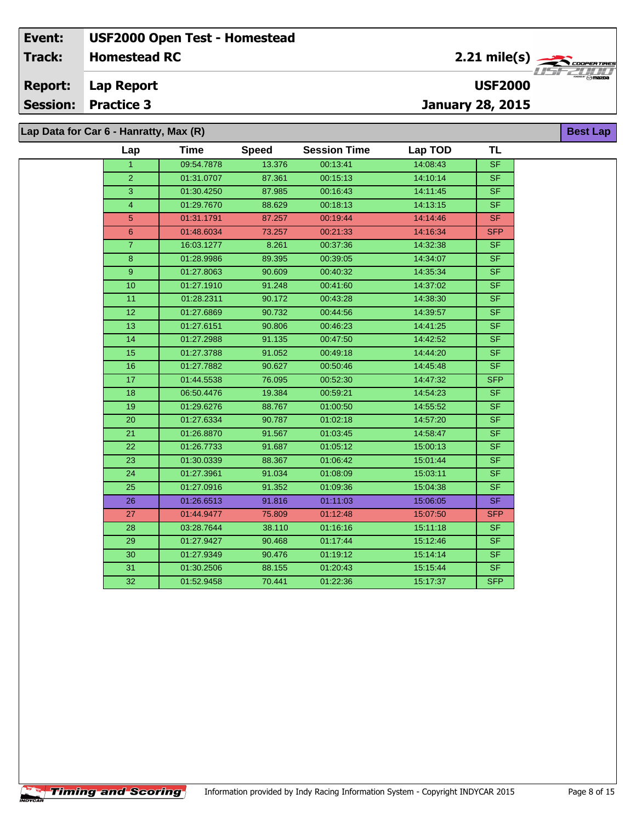**Lap Report Report:**

**Session: Practice 3**

**January 28, 2015**

**Lap Data for Car 6 - Hanratty, Max (R)**

| Lap             | <b>Time</b> | <b>Speed</b> | <b>Session Time</b> | Lap TOD  | TL                       |
|-----------------|-------------|--------------|---------------------|----------|--------------------------|
| $\mathbf{1}$    | 09:54.7878  | 13.376       | 00:13:41            | 14:08:43 | <b>SF</b>                |
| $\overline{2}$  | 01:31.0707  | 87.361       | 00:15:13            | 14:10:14 | S <sub>F</sub>           |
| 3               | 01:30.4250  | 87.985       | 00:16:43            | 14:11:45 | S <sub>F</sub>           |
| $\overline{4}$  | 01:29.7670  | 88.629       | 00:18:13            | 14:13:15 | <b>SF</b>                |
| 5               | 01:31.1791  | 87.257       | 00:19:44            | 14:14:46 | <b>SF</b>                |
| 6               | 01:48.6034  | 73.257       | 00:21:33            | 14:16:34 | <b>SFP</b>               |
| $\overline{7}$  | 16:03.1277  | 8.261        | 00:37:36            | 14:32:38 | S <sub>F</sub>           |
| 8               | 01:28.9986  | 89.395       | 00:39:05            | 14:34:07 | $\overline{\mathsf{SF}}$ |
| 9               | 01:27.8063  | 90.609       | 00:40:32            | 14:35:34 | <b>SF</b>                |
| 10              | 01:27.1910  | 91.248       | 00:41:60            | 14:37:02 | $\overline{\mathsf{SF}}$ |
| 11              | 01:28.2311  | 90.172       | 00:43:28            | 14:38:30 | $S_{F}$                  |
| $\overline{12}$ | 01:27.6869  | 90.732       | 00:44:56            | 14:39:57 | $\overline{\mathsf{SF}}$ |
| 13              | 01:27.6151  | 90.806       | 00:46:23            | 14:41:25 | <b>SF</b>                |
| 14              | 01:27.2988  | 91.135       | 00:47:50            | 14:42:52 | SF.                      |
| 15              | 01:27.3788  | 91.052       | 00:49:18            | 14:44:20 | SF                       |
| 16              | 01:27.7882  | 90.627       | 00:50:46            | 14:45:48 | S <sub>F</sub>           |
| 17              | 01:44.5538  | 76.095       | 00:52:30            | 14:47:32 | <b>SFP</b>               |
| 18              | 06:50.4476  | 19.384       | 00:59:21            | 14:54:23 | <b>SF</b>                |
| 19              | 01:29.6276  | 88.767       | 01:00:50            | 14:55:52 | SF                       |
| 20              | 01:27.6334  | 90.787       | 01:02:18            | 14:57:20 | <b>SF</b>                |
| 21              | 01:26.8870  | 91.567       | 01:03:45            | 14:58:47 | $\overline{\mathsf{SF}}$ |
| 22              | 01:26.7733  | 91.687       | 01:05:12            | 15:00:13 | <b>SF</b>                |
| 23              | 01:30.0339  | 88.367       | 01:06:42            | 15:01:44 | <b>SF</b>                |
| 24              | 01:27.3961  | 91.034       | 01:08:09            | 15:03:11 | <b>SF</b>                |
| 25              | 01:27.0916  | 91.352       | 01:09:36            | 15:04:38 | $S_{F}$                  |
| 26              | 01:26.6513  | 91.816       | 01:11:03            | 15:06:05 | SF                       |
| 27              | 01:44.9477  | 75.809       | 01:12:48            | 15:07:50 | <b>SFP</b>               |
| 28              | 03:28.7644  | 38.110       | 01:16:16            | 15:11:18 | SF.                      |
| 29              | 01:27.9427  | 90.468       | 01:17:44            | 15:12:46 | <b>SF</b>                |
| 30              | 01:27.9349  | 90.476       | 01:19:12            | 15:14:14 | <b>SF</b>                |
| 31              | 01:30.2506  | 88.155       | 01:20:43            | 15:15:44 | SF.                      |
| $\overline{32}$ | 01:52.9458  | 70.441       | 01:22:36            | 15:17:37 | <b>SFP</b>               |

**USF2000**

**Best Lap**

**Timing and Scoring**  $\overline{\phantom{a}}$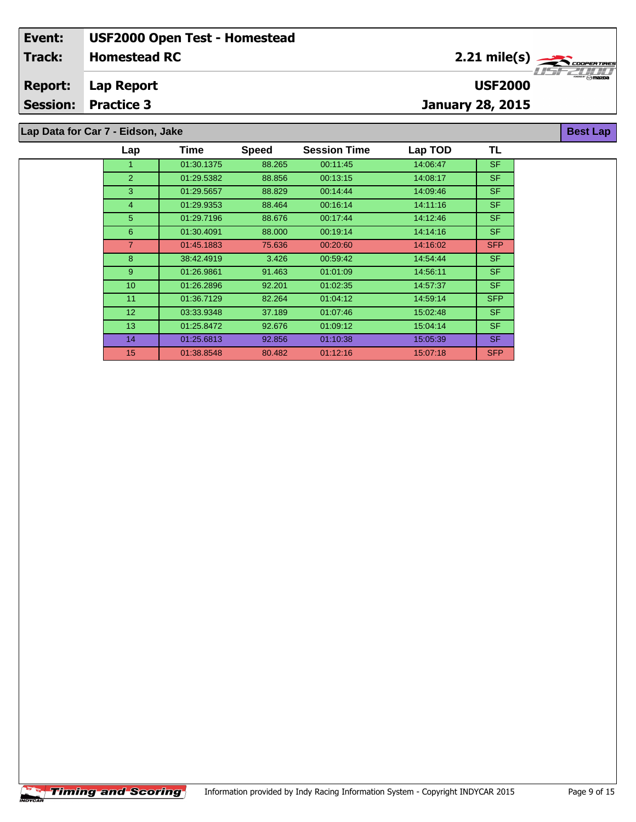#### **Homestead RC Lap Report January 28, 2015 Event: USF2000 Open Test - Homestead Track: Report: Session: Practice 3 USF2000** 2.21 mile(s) **Best Lap Lap Data for Car 7 - Eidson, Jake**

| Lap             | Time       | <b>Speed</b> | <b>Session Time</b> | Lap TOD  | TL         |
|-----------------|------------|--------------|---------------------|----------|------------|
|                 | 01:30.1375 | 88.265       | 00:11:45            | 14:06:47 | <b>SF</b>  |
| $\overline{2}$  | 01:29.5382 | 88.856       | 00:13:15            | 14:08:17 | SF.        |
| 3               | 01:29.5657 | 88.829       | 00:14:44            | 14:09:46 | SF.        |
| $\overline{4}$  | 01:29.9353 | 88.464       | 00:16:14            | 14:11:16 | SF.        |
| 5 <sup>5</sup>  | 01:29.7196 | 88.676       | 00.17:44            | 14:12:46 | <b>SF</b>  |
| 6               | 01:30.4091 | 88.000       | 00:19:14            | 14:14:16 | <b>SF</b>  |
| 7               | 01:45.1883 | 75.636       | 00:20:60            | 14:16:02 | <b>SFP</b> |
| 8               | 38:42.4919 | 3.426        | 00:59:42            | 14:54:44 | <b>SF</b>  |
| $9^{\circ}$     | 01:26.9861 | 91.463       | 01:01:09            | 14:56:11 | SF.        |
| 10              | 01:26.2896 | 92.201       | 01:02:35            | 14:57:37 | <b>SF</b>  |
| 11              | 01:36.7129 | 82.264       | 01:04:12            | 14:59:14 | <b>SFP</b> |
| 12 <sup>2</sup> | 03:33.9348 | 37.189       | 01.07:46            | 15:02:48 | SF.        |
| 13              | 01:25.8472 | 92.676       | 01:09:12            | 15:04:14 | SF.        |
| 14              | 01:25.6813 | 92.856       | 01:10:38            | 15:05:39 | SF.        |
| 15              | 01:38.8548 | 80.482       | 01:12:16            | 15:07:18 | <b>SFP</b> |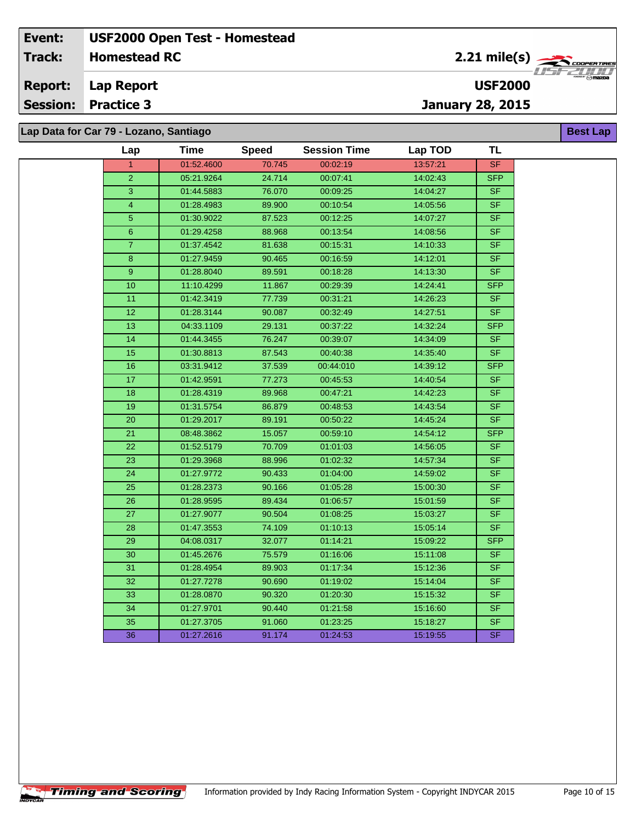**Lap Report Report:**

**Session: Practice 3**

**January 28, 2015**

**Lap Data for Car 79 - Lozano, Santiago**

**Timing and Scoring** 

 $\overline{\phantom{a}}$ 

| Lap            | <b>Time</b> | <b>Speed</b> | <b>Session Time</b> | Lap TOD  | TL             |
|----------------|-------------|--------------|---------------------|----------|----------------|
|                | 01:52.4600  | 70.745       | 00:02:19            | 13:57:21 | <b>SF</b>      |
| $\overline{2}$ | 05:21.9264  | 24.714       | 00:07:41            | 14:02:43 | <b>SFP</b>     |
| 3              | 01:44.5883  | 76.070       | 00:09:25            | 14:04:27 | <b>SF</b>      |
| 4              | 01:28.4983  | 89.900       | 00:10:54            | 14:05:56 | S <sub>F</sub> |
| 5              | 01:30.9022  | 87.523       | 00:12:25            | 14:07:27 | SF             |
| 6              | 01:29.4258  | 88.968       | 00:13:54            | 14:08:56 | <b>SF</b>      |
| $\overline{7}$ | 01:37.4542  | 81.638       | 00:15:31            | 14:10:33 | SF             |
| 8              | 01:27.9459  | 90.465       | 00:16:59            | 14:12:01 | SF             |
| 9              | 01:28.8040  | 89.591       | 00:18:28            | 14:13:30 | S <sub>F</sub> |
| 10             | 11:10.4299  | 11.867       | 00:29:39            | 14:24:41 | <b>SFP</b>     |
| 11             | 01:42.3419  | 77.739       | 00:31:21            | 14:26:23 | <b>SF</b>      |
| 12             | 01:28.3144  | 90.087       | 00:32:49            | 14:27:51 | SF             |
| 13             | 04:33.1109  | 29.131       | 00:37:22            | 14:32:24 | <b>SFP</b>     |
| 14             | 01:44.3455  | 76.247       | 00:39:07            | 14:34:09 | <b>SF</b>      |
| 15             | 01:30.8813  | 87.543       | 00:40:38            | 14:35:40 | SF             |
| 16             | 03:31.9412  | 37.539       | 00:44:010           | 14:39:12 | <b>SFP</b>     |
| 17             | 01:42.9591  | 77.273       | 00:45:53            | 14:40:54 | SF             |
| 18             | 01:28.4319  | 89.968       | 00:47:21            | 14:42:23 | <b>SF</b>      |
| 19             | 01:31.5754  | 86.879       | 00:48:53            | 14:43:54 | SF             |
| 20             | 01:29.2017  | 89.191       | 00:50:22            | 14:45:24 | SF             |
| 21             | 08:48.3862  | 15.057       | 00:59:10            | 14:54:12 | SFP            |
| 22             | 01:52.5179  | 70.709       | 01:01:03            | 14:56:05 | SF.            |
| 23             | 01:29.3968  | 88.996       | 01:02:32            | 14:57:34 | SF.            |
| 24             | 01:27.9772  | 90.433       | 01:04:00            | 14:59:02 | SF             |
| 25             | 01:28.2373  | 90.166       | 01:05:28            | 15:00:30 | <b>SF</b>      |
| 26             | 01:28.9595  | 89.434       | 01:06:57            | 15:01:59 | <b>SF</b>      |
| 27             | 01:27.9077  | 90.504       | 01:08:25            | 15:03:27 | <b>SF</b>      |
| 28             | 01:47.3553  | 74.109       | 01:10:13            | 15:05:14 | SF.            |
| 29             | 04:08.0317  | 32.077       | 01:14:21            | 15:09:22 | <b>SFP</b>     |
| 30             | 01:45.2676  | 75.579       | 01:16:06            | 15:11:08 | SF             |
| 31             | 01:28.4954  | 89.903       | 01:17:34            | 15:12:36 | SF             |
| 32             | 01:27.7278  | 90.690       | 01:19:02            | 15:14:04 | SF.            |
| 33             | 01:28.0870  | 90.320       | 01:20:30            | 15:15:32 | <b>SF</b>      |
| 34             | 01:27.9701  | 90.440       | 01:21:58            | 15:16:60 | S <sub>F</sub> |
| 35             | 01:27.3705  | 91.060       | 01:23:25            | 15:18:27 | SF             |
| 36             | 01:27.2616  | 91.174       | 01:24:53            | 15:19:55 | SF.            |



**Best Lap**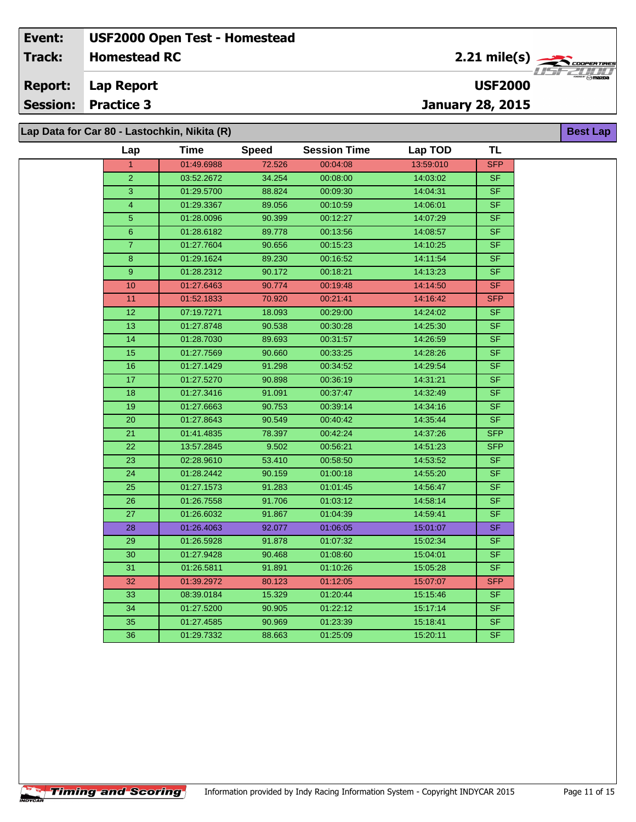**Lap Report Report:**

**Session: Practice 3**

**January 28, 2015**

**USF2000**

**Lap Data for Car 80 - Lastochkin, Nikita (R)**

**Timing and Scoring** 

 $\overline{\phantom{a}}$ 

| Lap             | <b>Time</b> | <b>Speed</b> | <b>Session Time</b> | Lap TOD   | <b>TL</b>                |
|-----------------|-------------|--------------|---------------------|-----------|--------------------------|
| $\mathbf{1}$    | 01:49.6988  | 72.526       | 00:04:08            | 13:59:010 | <b>SFP</b>               |
| $\overline{2}$  | 03:52.2672  | 34.254       | 00:08:00            | 14:03:02  | S <sub>F</sub>           |
| 3               | 01:29.5700  | 88.824       | 00:09:30            | 14:04:31  | $S$ F                    |
| 4               | 01:29.3367  | 89.056       | 00:10:59            | 14:06:01  | <b>SF</b>                |
| 5               | 01:28.0096  | 90.399       | 00:12:27            | 14:07:29  | SF                       |
| 6               | 01:28.6182  | 89.778       | 00:13:56            | 14:08:57  | SF                       |
| $\overline{7}$  | 01:27.7604  | 90.656       | 00:15:23            | 14:10:25  | SF                       |
| 8               | 01:29.1624  | 89.230       | 00:16:52            | 14:11:54  | SF                       |
| 9               | 01:28.2312  | 90.172       | 00:18:21            | 14:13:23  | <b>SF</b>                |
| 10              | 01:27.6463  | 90.774       | 00:19:48            | 14:14:50  | SF                       |
| 11              | 01:52.1833  | 70.920       | 00:21:41            | 14:16:42  | <b>SFP</b>               |
| 12              | 07:19.7271  | 18.093       | 00:29:00            | 14:24:02  | SF                       |
| 13              | 01:27.8748  | 90.538       | 00:30:28            | 14:25:30  | SF                       |
| 14              | 01:28.7030  | 89.693       | 00:31:57            | 14:26:59  | <b>SF</b>                |
| 15              | 01:27.7569  | 90.660       | 00:33:25            | 14:28:26  | SF                       |
| 16              | 01:27.1429  | 91.298       | 00:34:52            | 14:29:54  | SF                       |
| 17              | 01:27.5270  | 90.898       | 00:36:19            | 14:31:21  | SF                       |
| 18              | 01:27.3416  | 91.091       | 00:37:47            | 14:32:49  | S <sub>F</sub>           |
| 19              | 01:27.6663  | 90.753       | 00:39:14            | 14:34:16  | SF                       |
| 20              | 01:27.8643  | 90.549       | 00:40:42            | 14:35:44  | SF                       |
| 21              | 01:41.4835  | 78.397       | 00:42:24            | 14:37:26  | <b>SFP</b>               |
| 22              | 13:57.2845  | 9.502        | 00:56:21            | 14:51:23  | <b>SFP</b>               |
| $\overline{23}$ | 02:28.9610  | 53.410       | 00:58:50            | 14:53:52  | SF                       |
| 24              | 01:28.2442  | 90.159       | 01:00:18            | 14:55:20  | SF                       |
| 25              | 01:27.1573  | 91.283       | 01:01:45            | 14:56:47  | S <sub>F</sub>           |
| $\overline{26}$ | 01:26.7558  | 91.706       | 01:03:12            | 14:58:14  | $\overline{\mathsf{SF}}$ |
| 27              | 01:26.6032  | 91.867       | 01:04:39            | 14:59:41  | <b>SF</b>                |
| 28              | 01:26.4063  | 92.077       | 01:06:05            | 15:01:07  | SF                       |
| 29              | 01:26.5928  | 91.878       | 01:07:32            | 15:02:34  | SF                       |
| $\overline{30}$ | 01:27.9428  | 90.468       | 01:08:60            | 15:04:01  | SF                       |
| 31              | 01:26.5811  | 91.891       | 01:10:26            | 15:05:28  | SF                       |
| 32              | 01:39.2972  | 80.123       | 01:12:05            | 15:07:07  | <b>SFP</b>               |
| 33              | 08:39.0184  | 15.329       | 01:20:44            | 15:15:46  | SF                       |
| 34              | 01:27.5200  | 90.905       | 01:22:12            | 15:17:14  | SF                       |
| 35              | 01:27.4585  | 90.969       | 01:23:39            | 15:18:41  | S <sub>F</sub>           |
| 36              | 01:29.7332  | 88.663       | 01:25:09            | 15:20:11  | SF                       |



**Best Lap**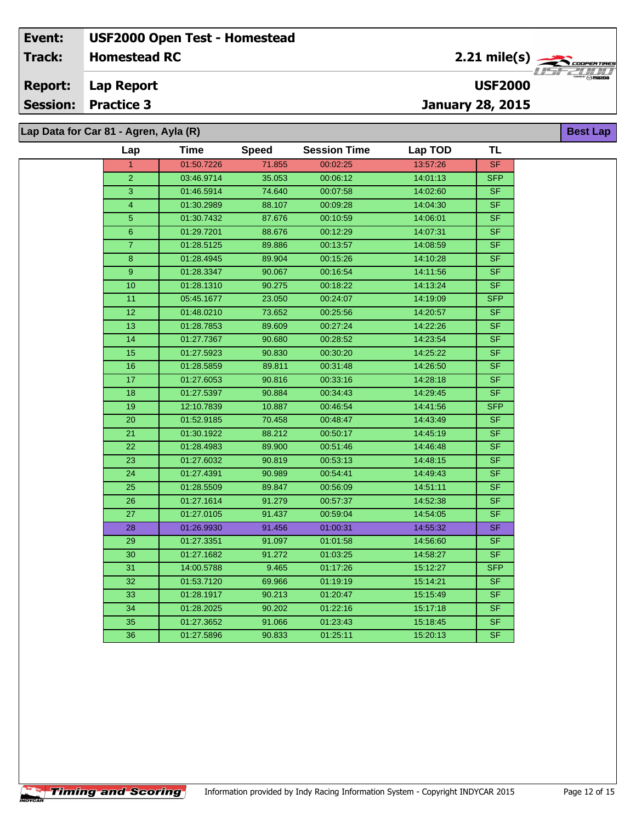**Lap Report Report:**

**Session: Practice 3**

 $\overline{\phantom{a}}$ 

**January 28, 2015**

**Lap Data for Car 81 - Agren, Ayla (R)**

| Lap             | Time       | <b>Speed</b> | <b>Session Time</b> | Lap TOD  | TL                       |
|-----------------|------------|--------------|---------------------|----------|--------------------------|
| $\mathbf{1}$    | 01:50.7226 | 71.855       | 00:02:25            | 13:57:26 | <b>SF</b>                |
| $\overline{2}$  | 03:46.9714 | 35.053       | 00:06:12            | 14:01:13 | <b>SFP</b>               |
| 3               | 01:46.5914 | 74.640       | 00:07:58            | 14:02:60 | <b>SF</b>                |
| $\overline{4}$  | 01:30.2989 | 88.107       | 00:09:28            | 14:04:30 | <b>SF</b>                |
| 5               | 01:30.7432 | 87.676       | 00:10:59            | 14:06:01 | <b>SF</b>                |
| $6\phantom{1}$  | 01:29.7201 | 88.676       | 00:12:29            | 14:07:31 | <b>SF</b>                |
| $\overline{7}$  | 01:28.5125 | 89.886       | 00:13:57            | 14:08:59 | <b>SF</b>                |
| 8               | 01:28.4945 | 89.904       | 00:15:26            | 14:10:28 | SF                       |
| 9               | 01:28.3347 | 90.067       | 00:16:54            | 14:11:56 | <b>SF</b>                |
| 10              | 01:28.1310 | 90.275       | 00:18:22            | 14:13:24 | <b>SF</b>                |
| 11              | 05:45.1677 | 23.050       | 00:24:07            | 14:19:09 | <b>SFP</b>               |
| 12              | 01:48.0210 | 73.652       | 00:25:56            | 14:20:57 | <b>SF</b>                |
| 13              | 01:28.7853 | 89.609       | 00:27:24            | 14:22:26 | <b>SF</b>                |
| 14              | 01:27.7367 | 90.680       | 00:28:52            | 14:23:54 | <b>SF</b>                |
| 15              | 01:27.5923 | 90.830       | 00:30:20            | 14:25:22 | <b>SF</b>                |
| 16              | 01:28.5859 | 89.811       | 00:31:48            | 14:26:50 | $S$ F                    |
| 17              | 01:27.6053 | 90.816       | 00:33:16            | 14:28:18 | <b>SF</b>                |
| 18              | 01:27.5397 | 90.884       | 00:34:43            | 14:29:45 | <b>SF</b>                |
| 19              | 12:10.7839 | 10.887       | 00:46:54            | 14:41:56 | <b>SFP</b>               |
| 20              | 01:52.9185 | 70.458       | 00:48:47            | 14:43:49 | <b>SF</b>                |
| $\overline{21}$ | 01:30.1922 | 88.212       | 00:50:17            | 14:45:19 | $\overline{\mathsf{SF}}$ |
| 22              | 01:28.4983 | 89.900       | 00:51:46            | 14:46:48 | <b>SF</b>                |
| $\overline{23}$ | 01:27.6032 | 90.819       | 00:53:13            | 14:48:15 | $\overline{\mathsf{SF}}$ |
| 24              | 01:27.4391 | 90.989       | 00:54:41            | 14:49:43 | $S$ F                    |
| 25              | 01:28.5509 | 89.847       | 00:56:09            | 14:51:11 | <b>SF</b>                |
| $\overline{26}$ | 01:27.1614 | 91.279       | 00:57:37            | 14:52:38 | $\overline{\mathsf{SF}}$ |
| 27              | 01:27.0105 | 91.437       | 00:59:04            | 14:54:05 | <b>SF</b>                |
| 28              | 01:26.9930 | 91.456       | 01:00:31            | 14:55:32 | <b>SF</b>                |
| 29              | 01:27.3351 | 91.097       | 01:01:58            | 14:56:60 | S <sub>F</sub>           |
| 30              | 01:27.1682 | 91.272       | 01:03:25            | 14:58:27 | <b>SF</b>                |
| 31              | 14:00.5788 | 9.465        | 01:17:26            | 15:12:27 | <b>SFP</b>               |
| 32              | 01:53.7120 | 69.966       | 01:19:19            | 15:14:21 | <b>SF</b>                |
| 33              | 01:28.1917 | 90.213       | 01:20:47            | 15:15:49 | <b>SF</b>                |
| 34              | 01:28.2025 | 90.202       | 01:22:16            | 15:17:18 | <b>SF</b>                |
| 35              | 01:27.3652 | 91.066       | 01:23:43            | 15:18:45 | <b>SF</b>                |
| 36              | 01:27.5896 | 90.833       | 01:25:11            | 15:20:13 | <b>SF</b>                |
|                 |            |              |                     |          |                          |



**Best Lap**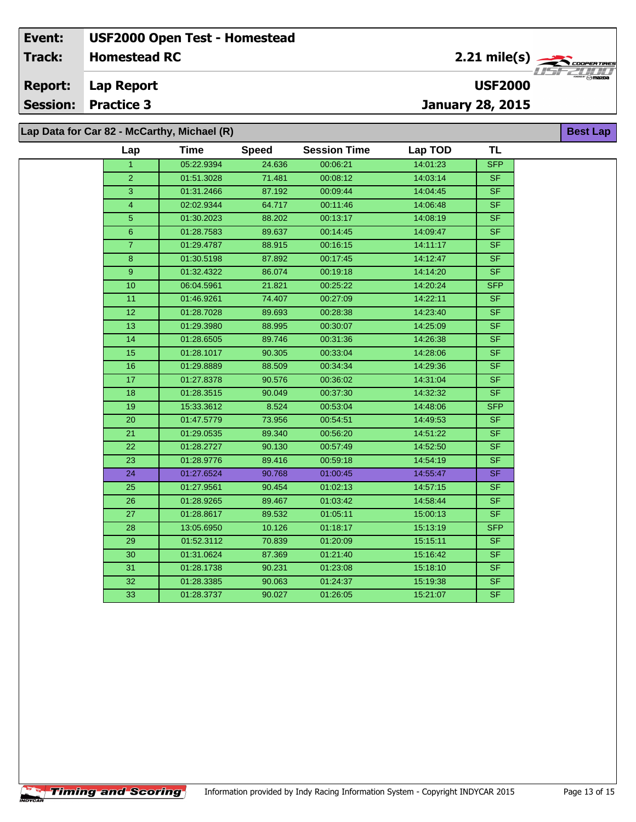**Lap Report Report:**

**Session: Practice 3**

**Lap Data for Car 82 - McCarthy, Michael (R)**

**Timing and Scoring** 

 $\overline{\phantom{a}}$ 

| p Data for Car 82 - McCarthy, Michael (R)<br><b>Best Lap</b> |                      |             |              |                     |          |                          |  |  |
|--------------------------------------------------------------|----------------------|-------------|--------------|---------------------|----------|--------------------------|--|--|
|                                                              | Lap                  | <b>Time</b> | <b>Speed</b> | <b>Session Time</b> | Lap TOD  | <b>TL</b>                |  |  |
|                                                              | $\blacktriangleleft$ | 05:22.9394  | 24.636       | 00:06:21            | 14:01:23 | <b>SFP</b>               |  |  |
|                                                              | $\overline{2}$       | 01:51.3028  | 71.481       | 00:08:12            | 14:03:14 | <b>SF</b>                |  |  |
|                                                              | 3                    | 01:31.2466  | 87.192       | 00:09:44            | 14:04:45 | <b>SF</b>                |  |  |
|                                                              | $\overline{4}$       | 02:02.9344  | 64.717       | 00:11:46            | 14:06:48 | <b>SF</b>                |  |  |
|                                                              | 5                    | 01:30.2023  | 88.202       | 00:13:17            | 14:08:19 | <b>SF</b>                |  |  |
|                                                              | 6                    | 01:28.7583  | 89.637       | 00:14:45            | 14:09:47 | <b>SF</b>                |  |  |
|                                                              | $\overline{7}$       | 01:29.4787  | 88.915       | 00:16:15            | 14:11:17 | <b>SF</b>                |  |  |
|                                                              | 8                    | 01:30.5198  | 87.892       | 00:17:45            | 14:12:47 | $\overline{\mathsf{SF}}$ |  |  |
|                                                              | 9                    | 01:32.4322  | 86.074       | 00:19:18            | 14:14:20 | <b>SF</b>                |  |  |
|                                                              | 10                   | 06:04.5961  | 21.821       | 00:25:22            | 14:20:24 | <b>SFP</b>               |  |  |
|                                                              | 11                   | 01:46.9261  | 74.407       | 00:27:09            | 14:22:11 | <b>SF</b>                |  |  |
|                                                              | $\overline{12}$      | 01:28.7028  | 89.693       | 00:28:38            | 14:23:40 | <b>SF</b>                |  |  |
|                                                              | 13                   | 01:29.3980  | 88.995       | 00:30:07            | 14:25:09 | <b>SF</b>                |  |  |
|                                                              | 14                   | 01:28.6505  | 89.746       | 00:31:36            | 14:26:38 | <b>SF</b>                |  |  |
|                                                              | 15                   | 01:28.1017  | 90.305       | 00:33:04            | 14:28:06 | SF                       |  |  |
|                                                              | 16                   | 01:29.8889  | 88.509       | 00:34:34            | 14:29:36 | S <sub>F</sub>           |  |  |
|                                                              | 17                   | 01:27.8378  | 90.576       | 00:36:02            | 14:31:04 | <b>SF</b>                |  |  |
|                                                              | 18                   | 01:28.3515  | 90.049       | 00:37:30            | 14:32:32 | <b>SF</b>                |  |  |
|                                                              | 19                   | 15:33.3612  | 8.524        | 00:53:04            | 14:48:06 | <b>SFP</b>               |  |  |
|                                                              | 20                   | 01:47.5779  | 73.956       | 00:54:51            | 14:49:53 | <b>SF</b>                |  |  |
|                                                              | 21                   | 01:29.0535  | 89.340       | 00:56:20            | 14:51:22 | <b>SF</b>                |  |  |
|                                                              | 22                   | 01:28.2727  | 90.130       | 00:57:49            | 14:52:50 | <b>SF</b>                |  |  |
|                                                              | $\overline{23}$      | 01:28.9776  | 89.416       | 00:59:18            | 14:54:19 | SF                       |  |  |
|                                                              | 24                   | 01:27.6524  | 90.768       | 01:00:45            | 14:55:47 | <b>SF</b>                |  |  |
|                                                              | 25                   | 01:27.9561  | 90.454       | 01:02:13            | 14:57:15 | <b>SF</b>                |  |  |
|                                                              | 26                   | 01:28.9265  | 89.467       | 01:03:42            | 14:58:44 | $\overline{\mathsf{SF}}$ |  |  |
|                                                              | 27                   | 01:28.8617  | 89.532       | 01:05:11            | 15:00:13 | $S_{F}$                  |  |  |
|                                                              | 28                   | 13:05.6950  | 10.126       | 01:18:17            | 15:13:19 | <b>SFP</b>               |  |  |
|                                                              | 29                   | 01:52.3112  | 70.839       | 01:20:09            | 15:15:11 | SF.                      |  |  |
|                                                              | 30                   | 01:31.0624  | 87.369       | 01:21:40            | 15:16:42 | <b>SF</b>                |  |  |
|                                                              | 31                   | 01:28.1738  | 90.231       | 01:23:08            | 15:18:10 | <b>SF</b>                |  |  |
|                                                              | 32                   | 01:28.3385  | 90.063       | 01:24:37            | 15:19:38 | <b>SF</b>                |  |  |
|                                                              | 33                   | 01:28.3737  | 90.027       | 01:26:05            | 15:21:07 | <b>SF</b>                |  |  |



**USF2000**

**January 28, 2015**

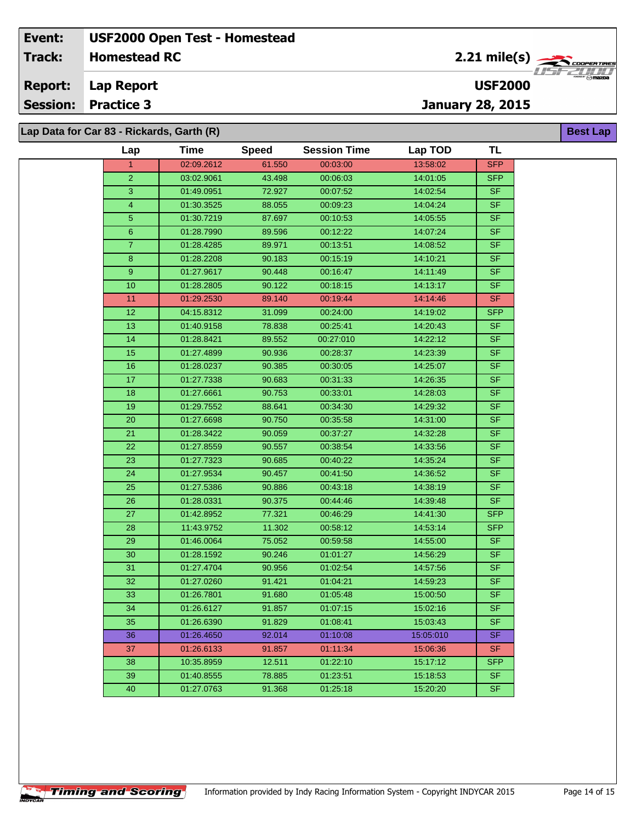**Lap Report Report:**

**Session: Practice 3**

**January 28, 2015**

**USF2000**

**Lap Data for Car 83 - Rickards, Garth (R)**

**Timing and Scoring** 

 $\overline{\phantom{a}}$ 

| Lap            | Time       | <b>Speed</b> | <b>Session Time</b> | Lap TOD   | <b>TL</b>  |
|----------------|------------|--------------|---------------------|-----------|------------|
| 1.             | 02:09.2612 | 61.550       | 00:03:00            | 13:58:02  | <b>SFP</b> |
| $\overline{2}$ | 03:02.9061 | 43.498       | 00:06:03            | 14:01:05  | <b>SFP</b> |
| 3              | 01:49.0951 | 72.927       | 00:07:52            | 14:02:54  | <b>SF</b>  |
| 4              | 01:30.3525 | 88.055       | 00:09:23            | 14:04:24  | <b>SF</b>  |
| 5              | 01:30.7219 | 87.697       | 00:10:53            | 14:05:55  | <b>SF</b>  |
| 6              | 01:28.7990 | 89.596       | 00:12:22            | 14:07:24  | <b>SF</b>  |
| $\mathbf{7}$   | 01:28.4285 | 89.971       | 00:13:51            | 14:08:52  | <b>SF</b>  |
| 8              | 01:28.2208 | 90.183       | 00:15:19            | 14:10:21  | SF.        |
| 9              | 01:27.9617 | 90.448       | 00:16:47            | 14:11:49  | <b>SF</b>  |
| 10             | 01:28.2805 | 90.122       | 00:18:15            | 14:13:17  | <b>SF</b>  |
| 11             | 01:29.2530 | 89.140       | 00:19:44            | 14:14:46  | <b>SF</b>  |
| 12             | 04:15.8312 | 31.099       | 00:24:00            | 14:19:02  | <b>SFP</b> |
| 13             | 01:40.9158 | 78.838       | 00:25:41            | 14:20:43  | <b>SF</b>  |
| 14             | 01:28.8421 | 89.552       | 00:27:010           | 14:22:12  | <b>SF</b>  |
| 15             | 01:27.4899 | 90.936       | 00:28:37            | 14:23:39  | <b>SF</b>  |
| 16             | 01:28.0237 | 90.385       | 00:30:05            | 14:25:07  | <b>SF</b>  |
| 17             | 01:27.7338 | 90.683       | 00:31:33            | 14:26:35  | <b>SF</b>  |
| 18             | 01:27.6661 | 90.753       | 00:33:01            | 14:28:03  | <b>SF</b>  |
| 19             | 01:29.7552 | 88.641       | 00:34:30            | 14:29:32  | <b>SF</b>  |
| 20             | 01:27.6698 | 90.750       | 00:35:58            | 14:31:00  | <b>SF</b>  |
| 21             | 01:28.3422 | 90.059       | 00:37:27            | 14:32:28  | <b>SF</b>  |
| 22             | 01:27.8559 | 90.557       | 00:38:54            | 14:33:56  | <b>SF</b>  |
| 23             | 01:27.7323 | 90.685       | 00:40:22            | 14:35:24  | <b>SF</b>  |
| 24             | 01:27.9534 | 90.457       | 00:41:50            | 14:36:52  | <b>SF</b>  |
| 25             | 01:27.5386 | 90.886       | 00:43:18            | 14:38:19  | <b>SF</b>  |
| 26             | 01:28.0331 | 90.375       | 00:44:46            | 14:39:48  | <b>SF</b>  |
| 27             | 01:42.8952 | 77.321       | 00:46:29            | 14:41:30  | <b>SFP</b> |
| 28             | 11:43.9752 | 11.302       | 00:58:12            | 14:53:14  | <b>SFP</b> |
| 29             | 01:46.0064 | 75.052       | 00:59:58            | 14:55:00  | <b>SF</b>  |
| 30             | 01:28.1592 | 90.246       | 01:01:27            | 14:56:29  | <b>SF</b>  |
| 31             | 01:27.4704 | 90.956       | 01:02:54            | 14:57:56  | <b>SF</b>  |
| 32             | 01:27.0260 | 91.421       | 01:04:21            | 14:59:23  | <b>SF</b>  |
| 33             | 01:26.7801 | 91.680       | 01:05:48            | 15:00:50  | <b>SF</b>  |
| 34             | 01:26.6127 | 91.857       | 01:07:15            | 15:02:16  | <b>SF</b>  |
| 35             | 01:26.6390 | 91.829       | 01:08:41            | 15:03:43  | <b>SF</b>  |
| 36             | 01:26.4650 | 92.014       | 01:10:08            | 15:05:010 | <b>SF</b>  |
| 37             | 01:26.6133 | 91.857       | 01:11:34            | 15:06:36  | <b>SF</b>  |
| 38             | 10:35.8959 | 12.511       | 01:22:10            | 15.17:12  | <b>SFP</b> |
| 39             | 01:40.8555 | 78.885       | 01:23:51            | 15:18:53  | <b>SF</b>  |
| 40             | 01:27.0763 | 91.368       | 01:25:18            | 15:20:20  | SF         |



**Best Lap**